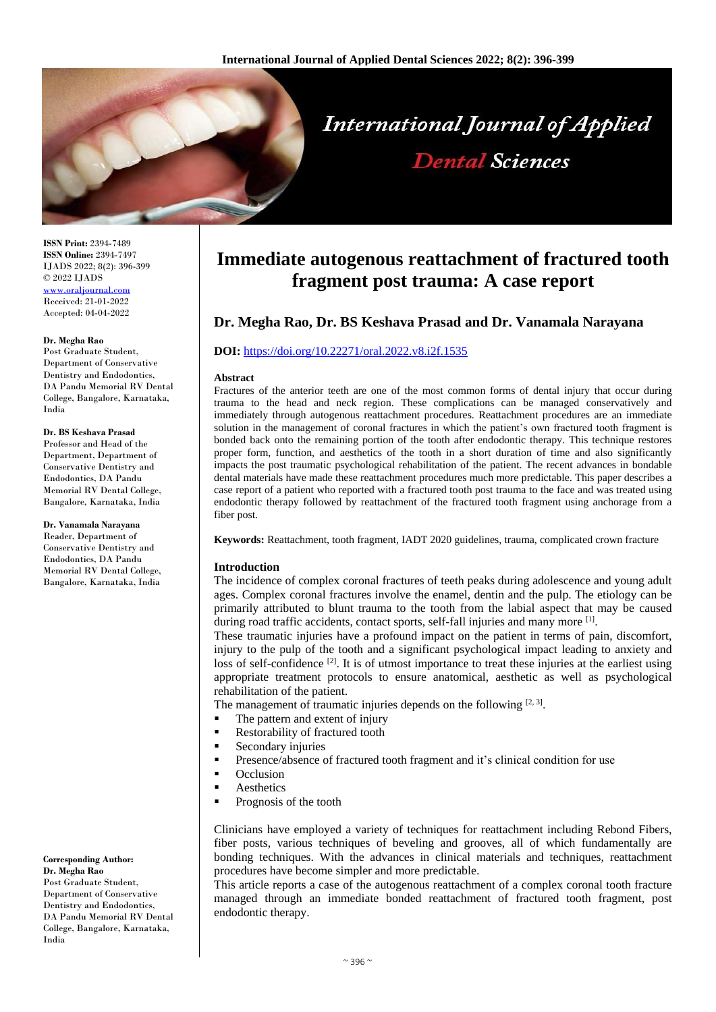

**ISSN Print:** 2394-7489 **ISSN Online:** 2394-7497 IJADS 2022; 8(2): 396-399 © 2022 IJADS [www.oraljournal.com](http://www.oraljournal.com/) Received: 21-01-2022 Accepted: 04-04-2022

#### **Dr. Megha Rao**

Post Graduate Student, Department of Conservative Dentistry and Endodontics, DA Pandu Memorial RV Dental College, Bangalore, Karnataka, India

#### **Dr. BS Keshava Prasad**

Professor and Head of the Department, Department of Conservative Dentistry and Endodontics, DA Pandu Memorial RV Dental College, Bangalore, Karnataka, India

**Dr. Vanamala Narayana** Reader, Department of Conservative Dentistry and Endodontics, DA Pandu Memorial RV Dental College, Bangalore, Karnataka, India

#### **Corresponding Author: Dr. Megha Rao** Post Graduate Student, Department of Conservative Dentistry and Endodontics DA Pandu Memorial RV Dental College, Bangalore, Karnataka, India

# **Immediate autogenous reattachment of fractured tooth fragment post trauma: A case report**

# **Dr. Megha Rao, Dr. BS Keshava Prasad and Dr. Vanamala Narayana**

# **DOI:** <https://doi.org/10.22271/oral.2022.v8.i2f.1535>

#### **Abstract**

Fractures of the anterior teeth are one of the most common forms of dental injury that occur during trauma to the head and neck region. These complications can be managed conservatively and immediately through autogenous reattachment procedures. Reattachment procedures are an immediate solution in the management of coronal fractures in which the patient's own fractured tooth fragment is bonded back onto the remaining portion of the tooth after endodontic therapy. This technique restores proper form, function, and aesthetics of the tooth in a short duration of time and also significantly impacts the post traumatic psychological rehabilitation of the patient. The recent advances in bondable dental materials have made these reattachment procedures much more predictable. This paper describes a case report of a patient who reported with a fractured tooth post trauma to the face and was treated using endodontic therapy followed by reattachment of the fractured tooth fragment using anchorage from a fiber post.

**Keywords:** Reattachment, tooth fragment, IADT 2020 guidelines, trauma, complicated crown fracture

#### **Introduction**

The incidence of complex coronal fractures of teeth peaks during adolescence and young adult ages. Complex coronal fractures involve the enamel, dentin and the pulp. The etiology can be primarily attributed to blunt trauma to the tooth from the labial aspect that may be caused during road traffic accidents, contact sports, self-fall injuries and many more [1].

These traumatic injuries have a profound impact on the patient in terms of pain, discomfort, injury to the pulp of the tooth and a significant psychological impact leading to anxiety and loss of self-confidence  $[2]$ . It is of utmost importance to treat these injuries at the earliest using appropriate treatment protocols to ensure anatomical, aesthetic as well as psychological rehabilitation of the patient.

The management of traumatic injuries depends on the following  $[2, 3]$ .

- The pattern and extent of injury
- Restorability of fractured tooth
- **Secondary injuries**
- **Presence/absence of fractured tooth fragment and it's clinical condition for use**
- $\Omega$ cclusion
- **Aesthetics**
- Prognosis of the tooth

Clinicians have employed a variety of techniques for reattachment including Rebond Fibers, fiber posts, various techniques of beveling and grooves, all of which fundamentally are bonding techniques. With the advances in clinical materials and techniques, reattachment procedures have become simpler and more predictable.

This article reports a case of the autogenous reattachment of a complex coronal tooth fracture managed through an immediate bonded reattachment of fractured tooth fragment, post endodontic therapy.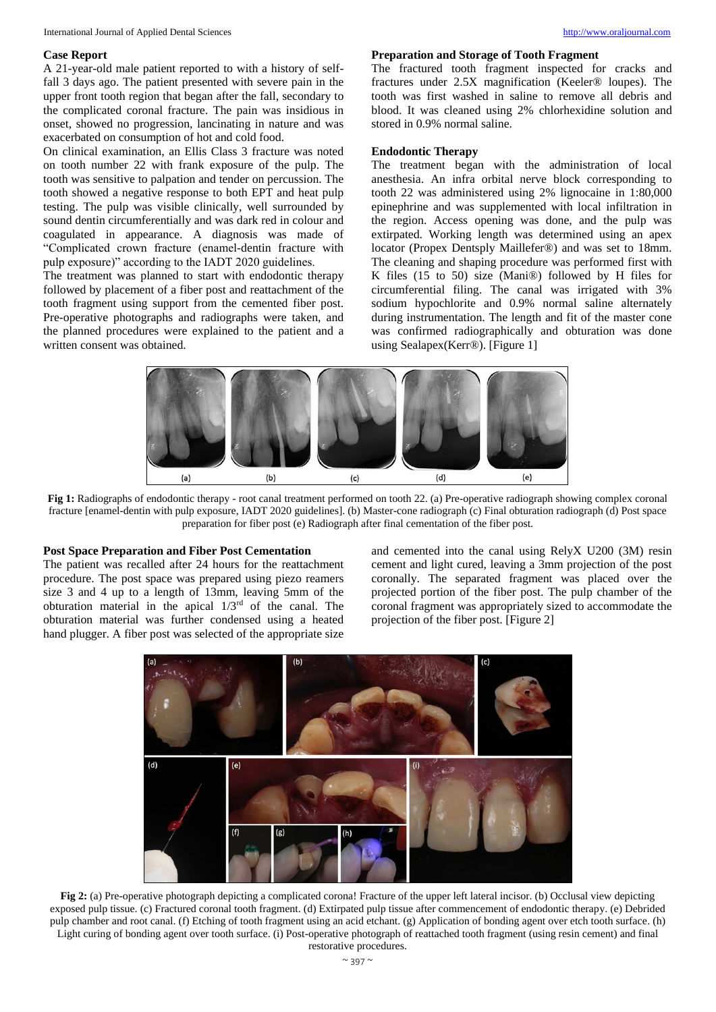#### **Case Report**

A 21-year-old male patient reported to with a history of selffall 3 days ago. The patient presented with severe pain in the upper front tooth region that began after the fall, secondary to the complicated coronal fracture. The pain was insidious in onset, showed no progression, lancinating in nature and was exacerbated on consumption of hot and cold food.

On clinical examination, an Ellis Class 3 fracture was noted on tooth number 22 with frank exposure of the pulp. The tooth was sensitive to palpation and tender on percussion. The tooth showed a negative response to both EPT and heat pulp testing. The pulp was visible clinically, well surrounded by sound dentin circumferentially and was dark red in colour and coagulated in appearance. A diagnosis was made of "Complicated crown fracture (enamel-dentin fracture with pulp exposure)" according to the IADT 2020 guidelines.

The treatment was planned to start with endodontic therapy followed by placement of a fiber post and reattachment of the tooth fragment using support from the cemented fiber post. Pre-operative photographs and radiographs were taken, and the planned procedures were explained to the patient and a written consent was obtained.

#### **Preparation and Storage of Tooth Fragment**

The fractured tooth fragment inspected for cracks and fractures under 2.5X magnification (Keeler® loupes). The tooth was first washed in saline to remove all debris and blood. It was cleaned using 2% chlorhexidine solution and stored in 0.9% normal saline.

# **Endodontic Therapy**

The treatment began with the administration of local anesthesia. An infra orbital nerve block corresponding to tooth 22 was administered using 2% lignocaine in 1:80,000 epinephrine and was supplemented with local infiltration in the region. Access opening was done, and the pulp was extirpated. Working length was determined using an apex locator (Propex Dentsply Maillefer®) and was set to 18mm. The cleaning and shaping procedure was performed first with K files (15 to 50) size (Mani®) followed by H files for circumferential filing. The canal was irrigated with 3% sodium hypochlorite and 0.9% normal saline alternately during instrumentation. The length and fit of the master cone was confirmed radiographically and obturation was done using Sealapex(Kerr®). [Figure 1]



**Fig 1:** Radiographs of endodontic therapy - root canal treatment performed on tooth 22. (a) Pre-operative radiograph showing complex coronal fracture [enamel-dentin with pulp exposure, IADT 2020 guidelines]. (b) Master-cone radiograph (c) Final obturation radiograph (d) Post space preparation for fiber post (e) Radiograph after final cementation of the fiber post.

### **Post Space Preparation and Fiber Post Cementation**

The patient was recalled after 24 hours for the reattachment procedure. The post space was prepared using piezo reamers size 3 and 4 up to a length of 13mm, leaving 5mm of the obturation material in the apical  $1/3<sup>rd</sup>$  of the canal. The obturation material was further condensed using a heated hand plugger. A fiber post was selected of the appropriate size

and cemented into the canal using RelyX U200 (3M) resin cement and light cured, leaving a 3mm projection of the post coronally. The separated fragment was placed over the projected portion of the fiber post. The pulp chamber of the coronal fragment was appropriately sized to accommodate the projection of the fiber post. [Figure 2]



**Fig 2:** (a) Pre-operative photograph depicting a complicated corona! Fracture of the upper left lateral incisor. (b) Occlusal view depicting exposed pulp tissue. (c) Fractured coronal tooth fragment. (d) Extirpated pulp tissue after commencement of endodontic therapy. (e) Debrided pulp chamber and root canal. (f) Etching of tooth fragment using an acid etchant. (g) Application of bonding agent over etch tooth surface. (h) Light curing of bonding agent over tooth surface. (i) Post-operative photograph of reattached tooth fragment (using resin cement) and final restorative procedures.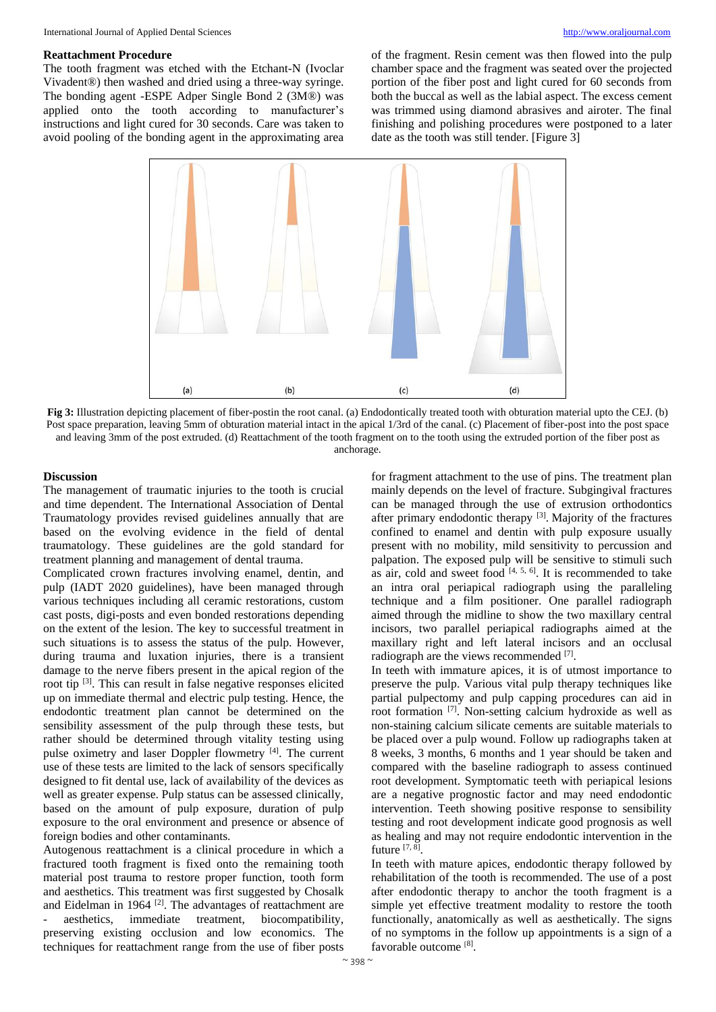#### **Reattachment Procedure**

The tooth fragment was etched with the Etchant-N (Ivoclar Vivadent®) then washed and dried using a three-way syringe. The bonding agent -ESPE Adper Single Bond 2 (3M®) was applied onto the tooth according to manufacturer's instructions and light cured for 30 seconds. Care was taken to avoid pooling of the bonding agent in the approximating area

of the fragment. Resin cement was then flowed into the pulp chamber space and the fragment was seated over the projected portion of the fiber post and light cured for 60 seconds from both the buccal as well as the labial aspect. The excess cement was trimmed using diamond abrasives and airoter. The final finishing and polishing procedures were postponed to a later date as the tooth was still tender. [Figure 3]



**Fig 3:** Illustration depicting placement of fiber-postin the root canal. (a) Endodontically treated tooth with obturation material upto the CEJ. (b) Post space preparation, leaving 5mm of obturation material intact in the apical 1/3rd of the canal. (c) Placement of fiber-post into the post space and leaving 3mm of the post extruded. (d) Reattachment of the tooth fragment on to the tooth using the extruded portion of the fiber post as anchorage.

#### **Discussion**

The management of traumatic injuries to the tooth is crucial and time dependent. The International Association of Dental Traumatology provides revised guidelines annually that are based on the evolving evidence in the field of dental traumatology. These guidelines are the gold standard for treatment planning and management of dental trauma.

Complicated crown fractures involving enamel, dentin, and pulp (IADT 2020 guidelines), have been managed through various techniques including all ceramic restorations, custom cast posts, digi-posts and even bonded restorations depending on the extent of the lesion. The key to successful treatment in such situations is to assess the status of the pulp. However, during trauma and luxation injuries, there is a transient damage to the nerve fibers present in the apical region of the root tip <sup>[3]</sup>. This can result in false negative responses elicited up on immediate thermal and electric pulp testing. Hence, the endodontic treatment plan cannot be determined on the sensibility assessment of the pulp through these tests, but rather should be determined through vitality testing using pulse oximetry and laser Doppler flowmetry [4]. The current use of these tests are limited to the lack of sensors specifically designed to fit dental use, lack of availability of the devices as well as greater expense. Pulp status can be assessed clinically, based on the amount of pulp exposure, duration of pulp exposure to the oral environment and presence or absence of foreign bodies and other contaminants.

Autogenous reattachment is a clinical procedure in which a fractured tooth fragment is fixed onto the remaining tooth material post trauma to restore proper function, tooth form and aesthetics. This treatment was first suggested by Chosalk and Eidelman in 1964  $[2]$ . The advantages of reattachment are aesthetics, immediate treatment, biocompatibility, preserving existing occlusion and low economics. The techniques for reattachment range from the use of fiber posts

for fragment attachment to the use of pins. The treatment plan mainly depends on the level of fracture. Subgingival fractures can be managed through the use of extrusion orthodontics after primary endodontic therapy<sup>[3]</sup>. Majority of the fractures confined to enamel and dentin with pulp exposure usually present with no mobility, mild sensitivity to percussion and palpation. The exposed pulp will be sensitive to stimuli such as air, cold and sweet food  $[4, 5, 6]$ . It is recommended to take an intra oral periapical radiograph using the paralleling technique and a film positioner. One parallel radiograph aimed through the midline to show the two maxillary central incisors, two parallel periapical radiographs aimed at the maxillary right and left lateral incisors and an occlusal radiograph are the views recommended [7].

In teeth with immature apices, it is of utmost importance to preserve the pulp. Various vital pulp therapy techniques like partial pulpectomy and pulp capping procedures can aid in root formation [7] . Non-setting calcium hydroxide as well as non-staining calcium silicate cements are suitable materials to be placed over a pulp wound. Follow up radiographs taken at 8 weeks, 3 months, 6 months and 1 year should be taken and compared with the baseline radiograph to assess continued root development. Symptomatic teeth with periapical lesions are a negative prognostic factor and may need endodontic intervention. Teeth showing positive response to sensibility testing and root development indicate good prognosis as well as healing and may not require endodontic intervention in the future [7, 8].

In teeth with mature apices, endodontic therapy followed by rehabilitation of the tooth is recommended. The use of a post after endodontic therapy to anchor the tooth fragment is a simple yet effective treatment modality to restore the tooth functionally, anatomically as well as aesthetically. The signs of no symptoms in the follow up appointments is a sign of a favorable outcome [8].